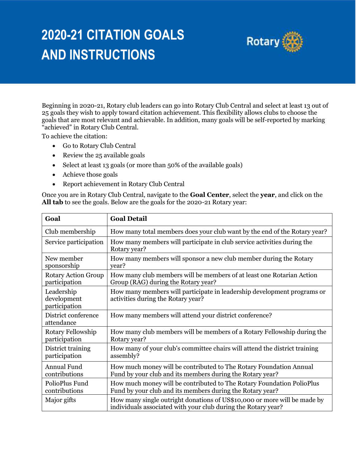## **2020-21 CITATION GOALS AND INSTRUCTIONS**



Beginning in 2020-21, Rotary club leaders can go into Rotary Club Central and select at least 13 out of 25 goals they wish to apply toward citation achievement. This flexibility allows clubs to choose the goals that are most relevant and achievable. In addition, many goals will be self-reported by marking "achieved" in Rotary Club Central.

To achieve the citation:

- Go to Rotary Club Central
- Review the 25 available goals
- Select at least 13 goals (or more than 50% of the available goals)
- Achieve those goals
- Report achievement in Rotary Club Central

Once you are in Rotary Club Central, navigate to the **Goal Center**, select the **year**, and click on the **All tab** to see the goals. Below are the goals for the 2020-21 Rotary year:

| Goal                                       | <b>Goal Detail</b>                                                                                                                        |
|--------------------------------------------|-------------------------------------------------------------------------------------------------------------------------------------------|
| Club membership                            | How many total members does your club want by the end of the Rotary year?                                                                 |
| Service participation                      | How many members will participate in club service activities during the<br>Rotary year?                                                   |
| New member                                 | How many members will sponsor a new club member during the Rotary                                                                         |
| sponsorship                                | year?                                                                                                                                     |
| <b>Rotary Action Group</b>                 | How many club members will be members of at least one Rotarian Action                                                                     |
| participation                              | Group (RAG) during the Rotary year?                                                                                                       |
| Leadership<br>development<br>participation | How many members will participate in leadership development programs or<br>activities during the Rotary year?                             |
| District conference<br>attendance          | How many members will attend your district conference?                                                                                    |
| Rotary Fellowship                          | How many club members will be members of a Rotary Fellowship during the                                                                   |
| participation                              | Rotary year?                                                                                                                              |
| District training                          | How many of your club's committee chairs will attend the district training                                                                |
| participation                              | assembly?                                                                                                                                 |
| Annual Fund                                | How much money will be contributed to The Rotary Foundation Annual                                                                        |
| contributions                              | Fund by your club and its members during the Rotary year?                                                                                 |
| PolioPlus Fund                             | How much money will be contributed to The Rotary Foundation PolioPlus                                                                     |
| contributions                              | Fund by your club and its members during the Rotary year?                                                                                 |
| Major gifts                                | How many single outright donations of US\$10,000 or more will be made by<br>individuals associated with your club during the Rotary year? |